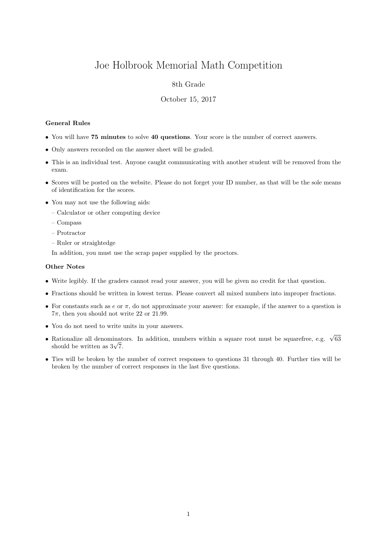# Joe Holbrook Memorial Math Competition

# 8th Grade

## October 15, 2017

### General Rules

- You will have 75 minutes to solve 40 questions. Your score is the number of correct answers.
- Only answers recorded on the answer sheet will be graded.
- This is an individual test. Anyone caught communicating with another student will be removed from the exam.
- Scores will be posted on the website. Please do not forget your ID number, as that will be the sole means of identification for the scores.
- You may not use the following aids:
	- Calculator or other computing device
	- Compass
	- Protractor
	- Ruler or straightedge

In addition, you must use the scrap paper supplied by the proctors.

#### Other Notes

- Write legibly. If the graders cannot read your answer, you will be given no credit for that question.
- Fractions should be written in lowest terms. Please convert all mixed numbers into improper fractions.
- For constants such as  $e$  or  $\pi$ , do not approximate your answer: for example, if the answer to a question is  $7\pi$ , then you should not write 22 or 21.99.
- You do not need to write units in your answers.
- Rationalize all denominators. In addition, numbers within a square root must be squarefree, e.g.  $\sqrt{63}$  $\kappa$ ationalize all denominat<br>should be written as  $3\sqrt{7}$ .
- Ties will be broken by the number of correct responses to questions 31 through 40. Further ties will be broken by the number of correct responses in the last five questions.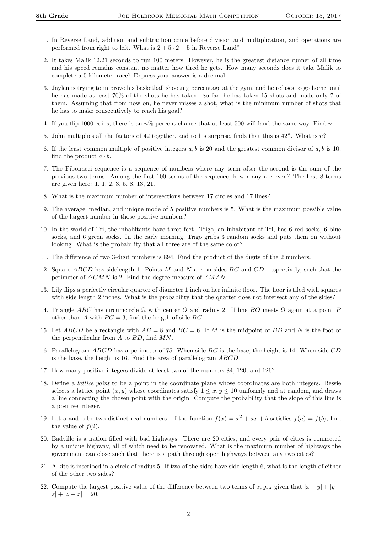- 1. In Reverse Land, addition and subtraction come before division and multiplication, and operations are performed from right to left. What is  $2 + 5 \cdot 2 - 5$  in Reverse Land?
- 2. It takes Malik 12.21 seconds to run 100 meters. However, he is the greatest distance runner of all time and his speed remains constant no matter how tired he gets. How many seconds does it take Malik to complete a 5 kilometer race? Express your answer is a decimal.
- 3. Jaylen is trying to improve his basketball shooting percentage at the gym, and he refuses to go home until he has made at least 70% of the shots he has taken. So far, he has taken 15 shots and made only 7 of them. Assuming that from now on, he never misses a shot, what is the minimum number of shots that he has to make consecutively to reach his goal?
- 4. If you flip 1000 coins, there is an  $n\%$  percent chance that at least 500 will land the same way. Find n.
- 5. John multiplies all the factors of 42 together, and to his surprise, finds that this is  $42^n$ . What is n?
- 6. If the least common multiple of positive integers  $a, b$  is 20 and the greatest common divisor of  $a, b$  is 10, find the product  $a \cdot b$ .
- 7. The Fibonacci sequence is a sequence of numbers where any term after the second is the sum of the previous two terms. Among the first 100 terms of the sequence, how many are even? The first 8 terms are given here: 1, 1, 2, 3, 5, 8, 13, 21.
- 8. What is the maximum number of intersections between 17 circles and 17 lines?
- 9. The average, median, and unique mode of 5 positive numbers is 5. What is the maximum possible value of the largest number in those positive numbers?
- 10. In the world of Tri, the inhabitants have three feet. Trigo, an inhabitant of Tri, has 6 red socks, 6 blue socks, and 6 green socks. In the early morning, Trigo grabs 3 random socks and puts them on without looking. What is the probability that all three are of the same color?
- 11. The difference of two 3-digit numbers is 894. Find the product of the digits of the 2 numbers.
- 12. Square ABCD has sidelength 1. Points M and N are on sides BC and CD, respectively, such that the perimeter of  $\triangle CMN$  is 2. Find the degree measure of  $\angle MAN$ .
- 13. Lily flips a perfectly circular quarter of diameter 1 inch on her infinite floor. The floor is tiled with squares with side length 2 inches. What is the probability that the quarter does not intersect any of the sides?
- 14. Triangle ABC has circumcircle  $\Omega$  with center O and radius 2. If line BO meets  $\Omega$  again at a point P other than A with  $PC = 3$ , find the length of side BC.
- 15. Let ABCD be a rectangle with  $AB = 8$  and  $BC = 6$ . If M is the midpoint of BD and N is the foot of the perpendicular from A to BD, find MN.
- 16. Parallelogram ABCD has a perimeter of 75. When side BC is the base, the height is 14. When side CD is the base, the height is 16. Find the area of parallelogram ABCD.
- 17. How many positive integers divide at least two of the numbers 84, 120, and 126?
- 18. Define a lattice point to be a point in the coordinate plane whose coordinates are both integers. Bessie selects a lattice point  $(x, y)$  whose coordinates satisfy  $1 \le x, y \le 10$  uniformly and at random, and draws a line connecting the chosen point with the origin. Compute the probability that the slope of this line is a positive integer.
- 19. Let a and b be two distinct real numbers. If the function  $f(x) = x^2 + ax + b$  satisfies  $f(a) = f(b)$ , find the value of  $f(2)$ .
- 20. Badville is a nation filled with bad highways. There are 20 cities, and every pair of cities is connected by a unique highway, all of which need to be renovated. What is the maximum number of highways the government can close such that there is a path through open highways between any two cities?
- 21. A kite is inscribed in a circle of radius 5. If two of the sides have side length 6, what is the length of either of the other two sides?
- 22. Compute the largest positive value of the difference between two terms of x, y, z given that  $|x y| + |y z|$  $|z| + |z - x| = 20.$